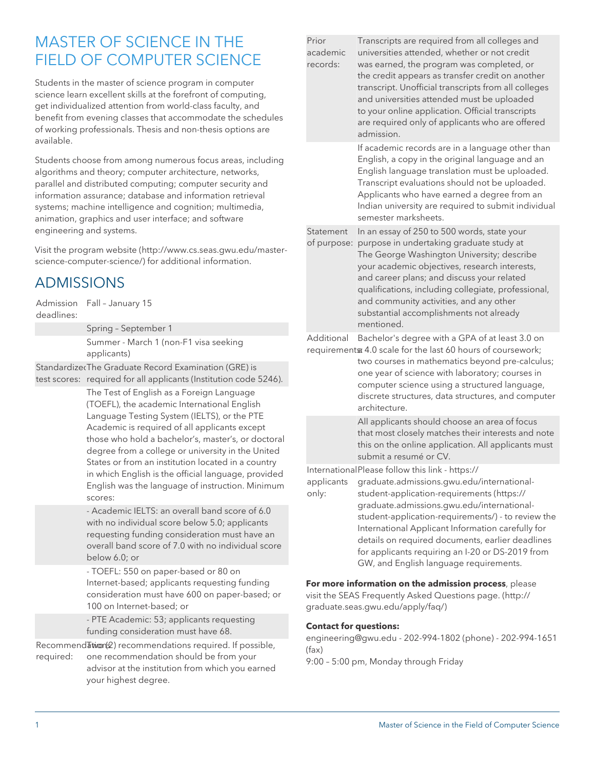# MASTER OF SCIENCE IN THE FIFI D OF COMPUTER SCIENCE

Students in the master of science program in computer science learn excellent skills at the forefront of computing, get individualized attention from world-class faculty, and benefit from evening classes that accommodate the schedules of working professionals. Thesis and non-thesis options are available.

Students choose from among numerous focus areas, including algorithms and theory; computer architecture, networks, parallel and distributed computing; computer security and information assurance; database and information retrieval systems; machine intelligence and cognition; multimedia, animation, graphics and user interface; and software engineering and systems.

Visit the [program website](http://www.cs.seas.gwu.edu/master-science-computer-science/) ([http://www.cs.seas.gwu.edu/master](http://www.cs.seas.gwu.edu/master-science-computer-science/)[science-computer-science/\)](http://www.cs.seas.gwu.edu/master-science-computer-science/) for additional information.

## ADMISSIONS

Admission Fall – January 15 deadlines:

> Spring – September 1 Summer - March 1 (non-F1 visa seeking applicants)

Standardized The Graduate Record Examination (GRE) is test scores: required for all applicants (Institution code 5246).

> The Test of English as a Foreign Language (TOEFL), the academic International English Language Testing System (IELTS), or the PTE Academic is required of all applicants except those who hold a bachelor's, master's, or doctoral degree from a college or university in the United States or from an institution located in a country in which English is the official language, provided English was the language of instruction. Minimum scores:

- Academic IELTS: an overall band score of 6.0 with no individual score below 5.0; applicants requesting funding consideration must have an overall band score of 7.0 with no individual score below 6.0; or

- TOEFL: 550 on paper-based or 80 on Internet-based; applicants requesting funding consideration must have 600 on paper-based; or 100 on Internet-based; or

- PTE Academic: 53; applicants requesting funding consideration must have 68.

Recommendation(2) recommendations required. If possible,

required: one recommendation should be from your advisor at the institution from which you earned your highest degree.

| Prior<br>academic<br>records: | Transcripts are required from all colleges and<br>universities attended, whether or not credit<br>was earned, the program was completed, or<br>the credit appears as transfer credit on another<br>transcript. Unofficial transcripts from all colleges<br>and universities attended must be uploaded<br>to your online application. Official transcripts<br>are required only of applicants who are offered<br>admission. |
|-------------------------------|----------------------------------------------------------------------------------------------------------------------------------------------------------------------------------------------------------------------------------------------------------------------------------------------------------------------------------------------------------------------------------------------------------------------------|
|                               | If academic records are in a language other than<br>English, a copy in the original language and an<br>English language translation must be uploaded.<br>Transcript evaluations should not be uploaded.<br>Applicants who have earned a degree from an<br>Indian university are required to submit individual<br>semester marksheets.                                                                                      |
| Statement<br>of purpose:      | In an essay of 250 to 500 words, state your<br>purpose in undertaking graduate study at<br>The George Washington University; describe<br>your academic objectives, research interests,<br>and career plans; and discuss your related<br>qualifications, including collegiate, professional,<br>and community activities, and any other<br>substantial accomplishments not already<br>mentioned.                            |
| Additional                    | Bachelor's degree with a GPA of at least 3.0 on<br>requirement a 4.0 scale for the last 60 hours of coursework;<br>two courses in mathematics beyond pre-calculus;<br>one year of science with laboratory; courses in<br>computer science using a structured language,<br>discrete structures data structures and computer                                                                                                 |

discrete structures, data structures, and computer architecture. All applicants should choose an area of focus

that most closely matches their interests and note this on the online application. All applicants must submit a resumé or CV.

International Please follow this link - [https://](https://graduate.admissions.gwu.edu/international-student-application-requirements/)

applicants only:

[graduate.admissions.gwu.edu/international](https://graduate.admissions.gwu.edu/international-student-application-requirements/)[student-application-requirements](https://graduate.admissions.gwu.edu/international-student-application-requirements/) ([https://](https://graduate.admissions.gwu.edu/international-student-application-requirements/) [graduate.admissions.gwu.edu/international](https://graduate.admissions.gwu.edu/international-student-application-requirements/)[student-application-requirements/](https://graduate.admissions.gwu.edu/international-student-application-requirements/)) - to review the International Applicant Information carefully for

details on required documents, earlier deadlines for applicants requiring an I-20 or DS-2019 from GW, and English language requirements.

**For more information on the admission process**, please visit the SEAS Frequently Asked Questions [page.](http://graduate.seas.gwu.edu/apply/faq/) ([http://](http://graduate.seas.gwu.edu/apply/faq/) [graduate.seas.gwu.edu/apply/faq/](http://graduate.seas.gwu.edu/apply/faq/))

### **Contact for questions:**

[engineering@gwu.edu](mailto:engineering@gwu.edu) - 202-994-1802 (phone) - 202-994-1651 (fax)

9:00 – 5:00 pm, Monday through Friday